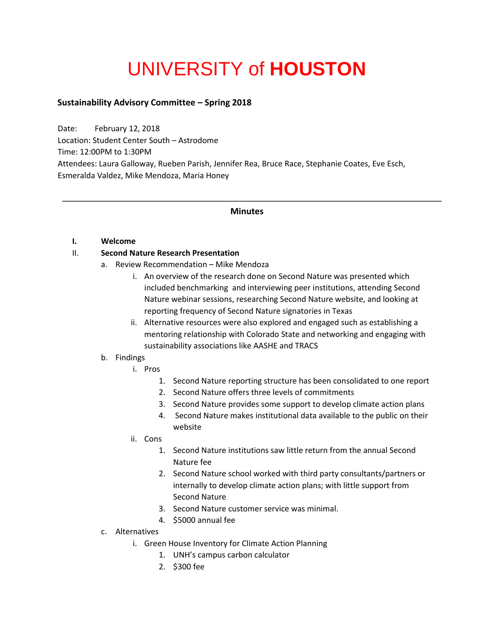# UNIVERSITY of **HOUSTON**

# **Sustainability Advisory Committee – Spring 2018**

Date: February 12, 2018 Location: Student Center South – Astrodome Time: 12:00PM to 1:30PM Attendees: Laura Galloway, Rueben Parish, Jennifer Rea, Bruce Race, Stephanie Coates, Eve Esch, Esmeralda Valdez, Mike Mendoza, Maria Honey

## **Minutes**

#### **I. Welcome**

## II. **Second Nature Research Presentation**

- a. Review Recommendation Mike Mendoza
	- i. An overview of the research done on Second Nature was presented which included benchmarking and interviewing peer institutions, attending Second Nature webinar sessions, researching Second Nature website, and looking at reporting frequency of Second Nature signatories in Texas
	- ii. Alternative resources were also explored and engaged such as establishing a mentoring relationship with Colorado State and networking and engaging with sustainability associations like AASHE and TRACS

## b. Findings

- i. Pros
	- 1. Second Nature reporting structure has been consolidated to one report
	- 2. Second Nature offers three levels of commitments
	- 3. Second Nature provides some support to develop climate action plans
	- 4. Second Nature makes institutional data available to the public on their website
- ii. Cons
	- 1. Second Nature institutions saw little return from the annual Second Nature fee
	- 2. Second Nature school worked with third party consultants/partners or internally to develop climate action plans; with little support from Second Nature
	- 3. Second Nature customer service was minimal.
	- 4. \$5000 annual fee
- c. Alternatives
	- i. Green House Inventory for Climate Action Planning
		- 1. UNH's campus carbon calculator
		- 2. \$300 fee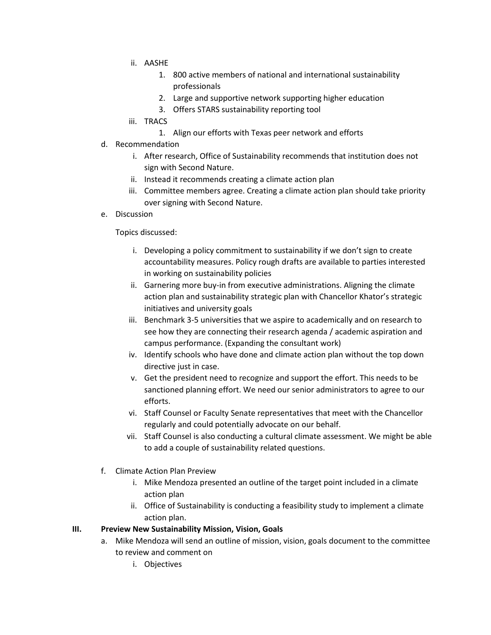- ii. AASHE
	- 1. 800 active members of national and international sustainability professionals
	- 2. Large and supportive network supporting higher education
	- 3. Offers STARS sustainability reporting tool
- iii. TRACS
	- 1. Align our efforts with Texas peer network and efforts
- d. Recommendation
	- i. After research, Office of Sustainability recommends that institution does not sign with Second Nature.
	- ii. Instead it recommends creating a climate action plan
	- iii. Committee members agree. Creating a climate action plan should take priority over signing with Second Nature.
- e. Discussion

Topics discussed:

- i. Developing a policy commitment to sustainability if we don't sign to create accountability measures. Policy rough drafts are available to parties interested in working on sustainability policies
- ii. Garnering more buy-in from executive administrations. Aligning the climate action plan and sustainability strategic plan with Chancellor Khator's strategic initiatives and university goals
- iii. Benchmark 3-5 universities that we aspire to academically and on research to see how they are connecting their research agenda / academic aspiration and campus performance. (Expanding the consultant work)
- iv. Identify schools who have done and climate action plan without the top down directive just in case.
- v. Get the president need to recognize and support the effort. This needs to be sanctioned planning effort. We need our senior administrators to agree to our efforts.
- vi. Staff Counsel or Faculty Senate representatives that meet with the Chancellor regularly and could potentially advocate on our behalf.
- vii. Staff Counsel is also conducting a cultural climate assessment. We might be able to add a couple of sustainability related questions.
- f. Climate Action Plan Preview
	- i. Mike Mendoza presented an outline of the target point included in a climate action plan
	- ii. Office of Sustainability is conducting a feasibility study to implement a climate action plan.

#### **III. Preview New Sustainability Mission, Vision, Goals**

- a. Mike Mendoza will send an outline of mission, vision, goals document to the committee to review and comment on
	- i. Objectives